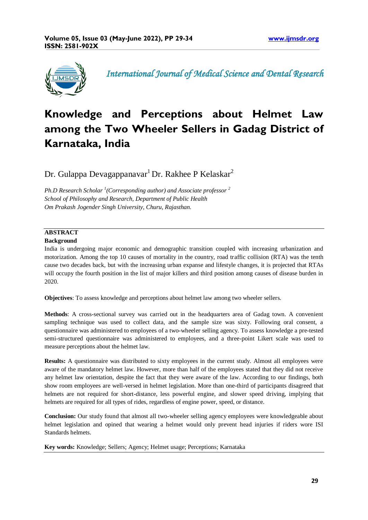

*International Journal of Medical Science and Dental Research* 

# **Knowledge and Perceptions about Helmet Law among the Two Wheeler Sellers in Gadag District of Karnataka, India**

Dr. Gulappa Devagappanavar<sup>1</sup> Dr. Rakhee P Kelaskar<sup>2</sup>

*Ph.D Research Scholar <sup>1</sup> (Corresponding author) and Associate professor <sup>2</sup> School of Philosophy and Research, Department of Public Health Om Prakash Jogender Singh University, Churu, Rajasthan.*

# **ABSTRACT**

# **Background**

India is undergoing major economic and demographic transition coupled with increasing urbanization and motorization. Among the top 10 causes of mortality in the country, road traffic collision (RTA) was the tenth cause two decades back, but with the increasing urban expanse and lifestyle changes, it is projected that RTAs will occupy the fourth position in the list of major killers and third position among causes of disease burden in 2020.

**Objectives**: To assess knowledge and perceptions about helmet law among two wheeler sellers.

**Methods**: A cross-sectional survey was carried out in the headquarters area of Gadag town. A convenient sampling technique was used to collect data, and the sample size was sixty. Following oral consent, a questionnaire was administered to employees of a two-wheeler selling agency. To assess knowledge a pre-tested semi-structured questionnaire was administered to employees, and a three-point Likert scale was used to measure perceptions about the helmet law.

**Results:** A questionnaire was distributed to sixty employees in the current study. Almost all employees were aware of the mandatory helmet law. However, more than half of the employees stated that they did not receive any helmet law orientation, despite the fact that they were aware of the law. According to our findings, both show room employees are well-versed in helmet legislation. More than one-third of participants disagreed that helmets are not required for short-distance, less powerful engine, and slower speed driving, implying that helmets are required for all types of rides, regardless of engine power, speed, or distance.

**Conclusion:** Our study found that almost all two-wheeler selling agency employees were knowledgeable about helmet legislation and opined that wearing a helmet would only prevent head injuries if riders wore ISI Standards helmets.

**Key words:** Knowledge; Sellers; Agency; Helmet usage; Perceptions; Karnataka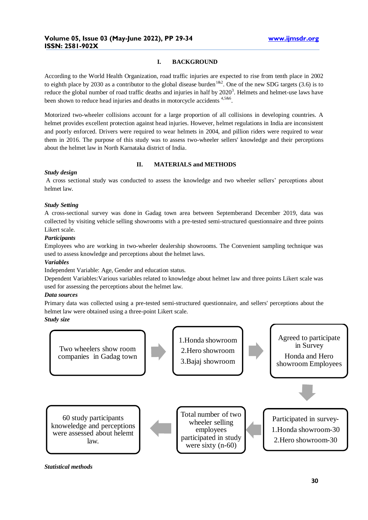# **I. BACKGROUND**

According to the World Health Organization, road traffic injuries are expected to rise from tenth place in 2002 to eighth place by 2030 as a contributor to the global disease burden<sup>1&2</sup>. One of the new SDG targets (3.6) is to reduce the global number of road traffic deaths and injuries in half by  $2020<sup>3</sup>$ . Helmets and helmet-use laws have been shown to reduce head injuries and deaths in motorcycle accidents <sup>4,5&6</sup>.

Motorized two-wheeler collisions account for a large proportion of all collisions in developing countries. A helmet provides excellent protection against head injuries. However, helmet regulations in India are inconsistent and poorly enforced. Drivers were required to wear helmets in 2004, and pillion riders were required to wear them in 2016. The purpose of this study was to assess two-wheeler sellers' knowledge and their perceptions about the helmet law in North Karnataka district of India.

# **II. MATERIALS and METHODS**

# *Study design*

A cross sectional study was conducted to assess the knowledge and two wheeler sellers' perceptions about helmet law.

# *Study Setting*

A cross-sectional survey was done in Gadag town area between Septemberand December 2019, data was collected by visiting vehicle selling showrooms with a pre-tested semi-structured questionnaire and three points Likert scale.

# *Participants*

Employees who are working in two-wheeler dealership showrooms. The Convenient sampling technique was used to assess knowledge and perceptions about the helmet laws.

## *Variables*

Independent Variable: Age, Gender and education status.

Dependent Variables:Various variables related to knowledge about helmet law and three points Likert scale was used for assessing the perceptions about the helmet law.

# *Data sources*

Primary data was collected using a pre-tested semi-structured questionnaire, and sellers' perceptions about the helmet law were obtained using a three-point Likert scale.

## *Study size*

Two wheelers show room companies in Gadag town 1.Honda showroom 2.Hero showroom 3.Bajaj showroom

Agreed to participate in Survey Honda and Hero showroom Employees

60 study participants knoweledge and perceptions were assessed about helemt law.



Participated in survey-1.Honda showroom-30 2.Hero showroom-30

*Statistical methods*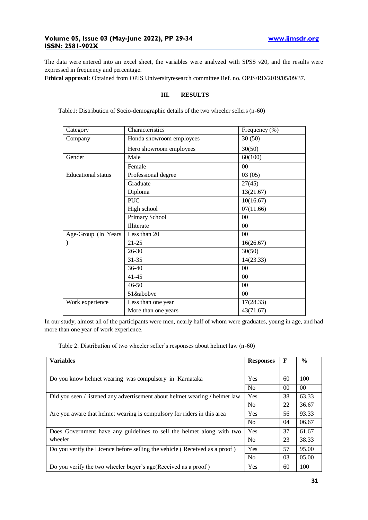The data were entered into an excel sheet, the variables were analyzed with SPSS v20, and the results were expressed in frequency and percentage.

**Ethical approval**: Obtained from OPJS Universityresearch committee Ref. no. OPJS/RD/2019/05/09/37.

#### **III. RESULTS**

Table1: Distribution of Socio-demographic details of the two wheeler sellers (n-60)

| Category                  | Characteristics          | Frequency (%)  |
|---------------------------|--------------------------|----------------|
| Company                   | Honda showroom employees | 30(50)         |
|                           | Hero showroom employees  | 30(50)         |
| Gender                    | Male                     | 60(100)        |
|                           | Female                   | $00\,$         |
| <b>Educational</b> status | Professional degree      | 03(05)         |
|                           | Graduate                 | 27(45)         |
|                           | Diploma                  | 13(21.67)      |
|                           | <b>PUC</b>               | 10(16.67)      |
|                           | High school              | 07(11.66)      |
|                           | Primary School           | 0 <sup>0</sup> |
|                           | Illiterate               | 00             |
| Age-Group (In Years)      | Less than 20             | 00             |
|                           | $21 - 25$                | 16(26.67)      |
|                           | $26 - 30$                | 30(50)         |
|                           | $31 - 35$                | 14(23.33)      |
|                           | $36-40$                  | 0 <sup>0</sup> |
|                           | $41 - 45$                | 00             |
|                           | $46 - 50$                | 00             |
|                           | 51&abobve                | 0 <sup>0</sup> |
| Work experience           | Less than one year       | 17(28.33)      |
|                           | More than one years      | 43(71.67)      |

In our study, almost all of the participants were men, nearly half of whom were graduates, young in age, and had more than one year of work experience.

Table 2: Distribution of two wheeler seller's responses about helmet law (n-60)

| <b>Variables</b>                                                            |                | $\mathbf F$     | $\frac{6}{9}$   |
|-----------------------------------------------------------------------------|----------------|-----------------|-----------------|
|                                                                             |                |                 |                 |
| Do you know helmet wearing was compulsory in Karnataka                      |                | 60              | 100             |
|                                                                             | N <sub>0</sub> | 00 <sup>2</sup> | 00 <sup>1</sup> |
| Did you seen / listened any advertisement about helmet wearing / helmet law | Yes            | 38              | 63.33           |
|                                                                             | N <sub>0</sub> | 22              | 36.67           |
| Are you aware that helmet wearing is compulsory for riders in this area     | Yes            | 56              | 93.33           |
|                                                                             | N <sub>0</sub> | 04              | 06.67           |
| Does Government have any guidelines to sell the helmet along with two       |                | 37              | 61.67           |
| wheeler                                                                     | N <sub>0</sub> | 23              | 38.33           |
| Do you verify the Licence before selling the vehicle (Received as a proof)  | Yes            | 57              | 95.00           |
|                                                                             | N <sub>0</sub> | 0 <sup>3</sup>  | 05.00           |
| Do you verify the two wheeler buyer's age (Received as a proof)             | Yes            | 60              | 100             |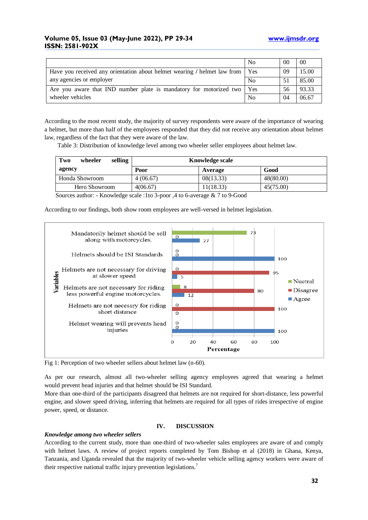|                                                                                | No             | 00  | 00 <sup>0</sup> |
|--------------------------------------------------------------------------------|----------------|-----|-----------------|
| Have you received any orientation about helmet wearing / helmet law from   Yes |                | 09  | 15.00           |
| any agencies or employer                                                       |                |     | 85.00           |
| Are you aware that IND number plate is mandatory for motorized two   Yes       |                | .56 | 93.33           |
| wheeler vehicles                                                               | N <sub>0</sub> | 04  | 06.67           |

According to the most recent study, the majority of survey respondents were aware of the importance of wearing a helmet, but more than half of the employees responded that they did not receive any orientation about helmet law, regardless of the fact that they were aware of the law.

Table 3: Distribution of knowledge level among two wheeler seller employees about helmet law.

| selling<br><b>Knowledge scale</b> |           |           |
|-----------------------------------|-----------|-----------|
| Poor                              | Average   | Good      |
| 4(06.67)                          | 08(13.33) | 48(80.00) |
| 4(06.67)                          | 11(18.33) | 45(75.00) |
|                                   |           |           |

Sources author: - Knowledge scale :1to 3-poor ,4 to 6-average & 7 to 9-Good

According to our findings, both show room employees are well-versed in helmet legislation.



Fig 1: Perception of two wheeler sellers about helmet law (n-60).

As per our research, almost all two-wheeler selling agency employees agreed that wearing a helmet would prevent head injuries and that helmet should be ISI Standard.

More than one-third of the participants disagreed that helmets are not required for short-distance, less powerful engine, and slower speed driving, inferring that helmets are required for all types of rides irrespective of engine power, speed, or distance.

#### **IV. DISCUSSION**

#### *Knowledge among two wheeler sellers*

According to the current study, more than one-third of two-wheeler sales employees are aware of and comply with helmet laws. A review of project reports completed by Tom Bishop et al (2018) in Ghana, Kenya, Tanzania, and Uganda revealed that the majority of two-wheeler vehicle selling agency workers were aware of their respective national traffic injury prevention legislations.<sup>7</sup>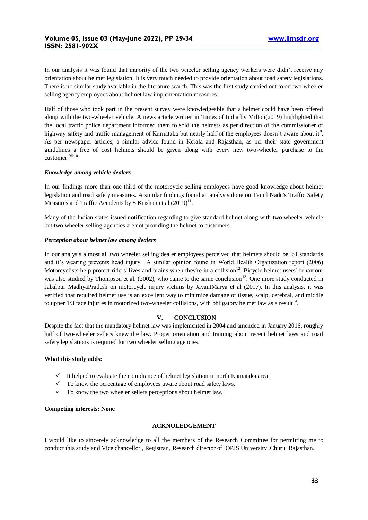In our analysis it was found that majority of the two wheeler selling agency workers were didn't receive any orientation about helmet legislation. It is very much needed to provide orientation about road safety legislations. There is no similar study available in the literature search. This was the first study carried out to on two wheeler selling agency employees about helmet law implementation measures.

Half of those who took part in the present survey were knowledgeable that a helmet could have been offered along with the two-wheeler vehicle. A news article written in Times of India by Milton(2019) highlighted that the local traffic police department informed them to sold the helmets as per direction of the commissioner of highway safety and traffic management of Karnataka but nearly half of the employees doesn't aware about it<sup>8</sup>. As per newspaper articles, a similar advice found in Kerala and Rajasthan, as per their state government guidelines a free of cost helmets should be given along with every new two-wheeler purchase to the customer.<sup>9&10</sup>

#### *Knowledge among vehicle dealers*

In our findings more than one third of the motorcycle selling employees have good knowledge about helmet legislation and road safety measures. A similar findings found an analysis done on Tamil Nadu's Traffic Safety Measures and Traffic Accidents by S Krishan et al  $(2019)^{11}$ .

Many of the Indian states issued notification regarding to give standard helmet along with two wheeler vehicle but two wheeler selling agencies are not providing the helmet to customers.

#### *Perception about helmet law among dealers*

In our analysis almost all two wheeler selling dealer employees perceived that helmets should be ISI standards and it's wearing prevents head injury. A similar opinion found in World Health Organization report (2006) Motorcyclists help protect riders' lives and brains when they're in a collision<sup>12</sup>. Bicycle helmet users' behaviour was also studied by Thompson et al. (2002), who came to the same conclusion<sup>13</sup>. One more study conducted in Jabalpur MadhyaPradesh on motorcycle injury victims by JayantMarya et al (2017). In this analysis, it was verified that required helmet use is an excellent way to minimize damage of tissue, scalp, cerebral, and middle to upper  $1/3$  face injuries in motorized two-wheeler collisions, with obligatory helmet law as a result<sup>14</sup>.

#### **V. CONCLUSION**

Despite the fact that the mandatory helmet law was implemented in 2004 and amended in January 2016, roughly half of two-wheeler sellers knew the law. Proper orientation and training about recent helmet laws and road safety legislations is required for two wheeler selling agencies.

#### **What this study adds:**

- $\checkmark$  It helped to evaluate the compliance of helmet legislation in north Karnataka area.
- $\checkmark$  To know the percentage of employees aware about road safety laws.
- $\checkmark$  To know the two wheeler sellers perceptions about helmet law.

#### **Competing interests: None**

#### **ACKNOLEDGEMENT**

I would like to sincerely acknowledge to all the members of the Research Committee for permitting me to conduct this study and Vice chancellor , Registrar , Research director of OPJS University ,Churu Rajasthan.